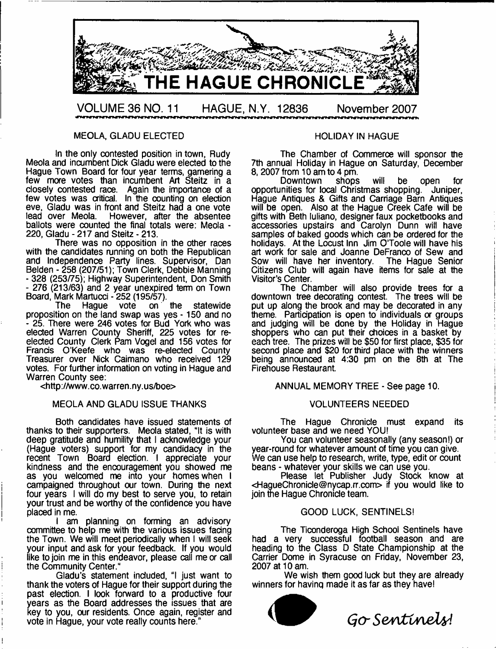

#### MEOLA, GLAOU ELECTED

In the only contested position in town, Rudy Meola and incumbent Dick Gladu were elected to the Hague Town Board for four year terms, garnering a few more votes than incumbent Art Steitz in a closely contested race. Again the importance of a few votes was critical. In the counting on election eve, Gladu was in front and Steitz had a one vote lead over Meola. However, after the absentee ballots were counted the final totals were: Meola - 220, Gladu - 217 and Steitz - 213.

There was no opposition in the other races with the candidates running on both the Republican and Independence Party lines. Supervisor, Dan Belden - 258 (207/51); Town Clerk, Debbie Manning - 328 (253/75); Highway Superintendent, Don Smith - 276 (213/63) and 2 year unexpired term on Town Board, Mark Martucci - 252 (195/57).<br>The Hague vote on

the statewide proposition on the land swap was yes -150 and no - 25. There were 246 votes for Bud York who was elected Warren County Sheriff, 225 votes for reelected County Clerk Pam Vogel and 156 votes for Francis O'Keefe who was re-elected County Treasurer over Nick Caimano who received 129 votes. For further information on voting in Hague and Warren County see:

chttp ://www. co. warren. ny. us/boe>

#### MEOLA AND GLADU ISSUE THANKS

Both candidates have issued statements of thanks to their supporters. Meola stated, "It is with deep gratitude and humility that I acknowledge your (Hague voters) support for my candidacy in the recent Town Board election. I appreciate your kindness and the encouragement you showed me as you welcomed me into your homes when I campaigned throughout our town. During the next four years I will do my best to serve you, to retain your trust and be worthy of the confidence you have placed in me.

I am planning on forming an advisory committee to help me with the various issues facing the Town. We will meet periodically when I will seek your input and ask for your feedback. If you would like to join me in this endeavor, please call me or call the Community Center."

Gladu's statement included, "I just want to thank the voters of Hague for their support during the past election. I look forward to a productive four years as the Board addresses the issues that are key to you, our residents. Once again, register and vote in Hague, your vote really counts here."

#### HOLIDAY IN HAGUE

The Chamber of Commerce will sponsor the 7th annual Holiday in Hague on Saturday, December 8, 2007 from 10 am to 4 pm.

Downtown shops will be open for opportunities for local Christmas shopping. Juniper, Hague Antiques & Gifts and Carriage Barn Antiques will be open. Also at the Hague Creek Cafe will be gifts with Beth luliano, designer faux pocketbooks and accessories upstairs and Carolyn Dunn will have samples of baked goods which can be ordered for the holidays. At the Locust Inn Jim O'Toole will have his art work for sale and Joanne DeFranco of Sew and<br>Sow will have her inventory. The Hague Senior Sow will have her inventory. Citizens Club will again have items for sale at the Visitor's Center.

The Chamber will also provide trees for a downtown tree decorating contest. The trees will be put up along the brook and may be decorated in any theme. Participation is open to individuals or groups and judging will be done by the Holiday in Hague shoppers who can put their choices in a basket by each tree. The prizes will be \$50 for first place, \$35 for second place and \$20 for third place with the winners being announced at 4:30 pm on the 8th at The Firehouse Restaurant.

ANNUAL MEMORY TREE - See page 10.

#### VOLUNTEERS NEEDED

The Hague Chronicle must expand its volunteer base and we need YOU!

You can volunteer seasonally (any season!) or year-round for whatever amount of time you can give. We can use help to research, write, type, edit or count beans - whatever your skills we can use you.

Please let Publisher Judy Stock know at <[HagueChronicle@nycap.rr.com>](mailto:HagueChronicle@nycap.rr.com) if you would like to join the Hague Chronicle team.

#### GOOD LUCK, SENTINELS!

The Ticonderoga High School Sentinels have had a very successful football season and are heading to the Class D State Championship at the Carrier Dome in Syracuse on Friday, November 23, 2007 at 10 am.

We wish them good luck but they are already winners for having made it as far as they have!



*Gjo- Sentinel^!*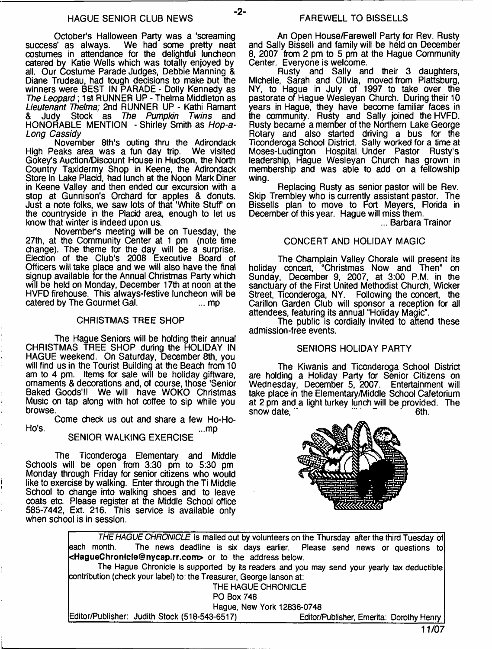$-2-$ 

October's Halloween Party was a 'screaming<br>success' as always. We had some pretty neat We had some pretty neat costumes in attendance for the delightful luncheon catered by Katie Wells which was totally enjoyed by all. Our Costume Parade Judges, Debbie Manning & Diane Trudeau, had tough decisions to make but the winners were BEST IN PARADE - Dolly Kennedy as *The Leopard*; 1st RUNNER UP - Thelma Middleton as *Lieutenant Thelma;* 2nd RUNNER UP - Kathi Ramant & Judy Stock as *The Pumpkin Twins* and HONORABLE MENTION - Shirley Smith as *Hop-a-Long Cassidy*

November 8th's outing thru the Adirondack High Peaks area was a fun day trip. We visited Gokey's Auction/Discount House in Hudson, the North Country Taxidermy Shop in Keene, the Adirondack Store in Lake Placid, had lunch at the Noon Mark Diner in Keene Valley and then ended our excursion with a stop at Gunnison's Orchard for apples & donuts. Just a note folks, we saw lots of that 'White Stuff on the countryside in the Placid area, enough to let us know that winter is indeed upon us.

November's meeting will be on Tuesday, the 27th, at the Community Center at 1 pm (note time change). The theme for the day will be a surprise. Election of the Club's 2008 Executive Board of Officers will take place and we will also have the final signup available for the Annual Christmas Party which will be held on Monday, December 17th at noon at the HVFD firehouse. This always-festive luncheon will be catered by The Gourmet Gal. catered by The Gourmet Gal.

#### CHRISTMAS TREE SHOP

The Hague Seniors will be holding their annual CHRISTMAS TREE SHOP during the HOLIDAY IN HAGUE weekend. On Saturday, December 8th, you will find us in the Tourist Building at the Beach from 10 am to 4 pm. Items for sale will be holiday giftware, ornaments & decorations and, of course, those 'Senior Baked Goods'!! We will have WOKO Christmas Music on tap along with hot coffee to sip while you browse.

Come check us out and share a few Ho-Ho-Ho's. ...mp

# SENIOR WALKING EXERCISE

The Ticonderoga Elementary and Middle Schools will be open from 3:30 pm to 5:30 pm Monday through Friday for senior citizens who would like to exercise by walking. Enter through the Ti Middle School to change into walking shoes and to leave coats etc. Please register at the Middle School office 585-7442, Ext. 216. This service is available only when school is in session.

An Open House/Farewell Party for Rev. Rusty and Sally Bissell and family will be held on December 8, 2007 from 2 pm to 5 pm at the Hague Community Center. Everyone is welcome.

Rusty and Sally and their 3 daughters, Michelle, Sarah and Olivia, moved from Plattsburg, NY, to Hague in July of 1997 to take over the pastorate of Hague Wesleyan Church. During their 10 years in Hague, they have become familiar faces in the community. Rusty and Sally joined the HVFD. Rusty became a member of the Northern Lake George Rotary and also started driving a bus for the Ticonderoga School District. Sally worked for a time at Moses-Ludington Hospital. Under Pastor Rusty's leadership, Hague Wesleyan Church has grown in membership and was able to add on a fellowship wing.

Replacing Rusty as senior pastor will be Rev. Skip Trembley who is currently assistant pastor. The Bissells plan to move to Fort Meyers, Rorida in December of this year. Hague will miss them.

... Barbara Trainor

#### CONCERT AND HOLIDAY MAGIC

The Champlain Valley Chorale will present its holiday concert, "Christmas Now and Then" on Sunday, December 9, 2007, at 3:00 P.M. in the sanctuary of the First United Methodist Church, Wicker Street, Ticonderoga, NY. Following the concert, the Carillon Garden Club will sponsor a reception for all attendees, featuring its annual "Holiday Magic".

The public is cordially invited to attend these admission-free events.

#### SENIORS HOLIDAY PARTY

The Kiwanis and Ticonderoga School District are holding a Holiday Party for Senior Citizens on Wednesday, December 5, 2007. Entertainment will take place in the Elementary/Middle School Cafetorium at 2 pm and a light turkey lunch will be provided. The snow date. " snow date.



*THE HAGUE CHRONICLE* is mailed out by volunteers on the Thursday after the third Tuesday of each month. The news deadline is six days earlier. Please send news or questions to [<HagueChronicle@nycap.rr.com>](mailto:HagueChronicle@nycap.rr.com) or to the address below. The Hague Chronicle is supported by its readers and you may send your yearly tax deductible contribution (check your label) to: the Treasurer, George lanson at: THE HAGUE CHRONICLE PO Box 748 Hague, New York 12836-0748 Editor/Publisher: Judith Stock (518-543-6517)\_\_\_\_\_\_\_\_\_\_\_\_\_\_Editor/Publisher, Emerita: Dorothy Henry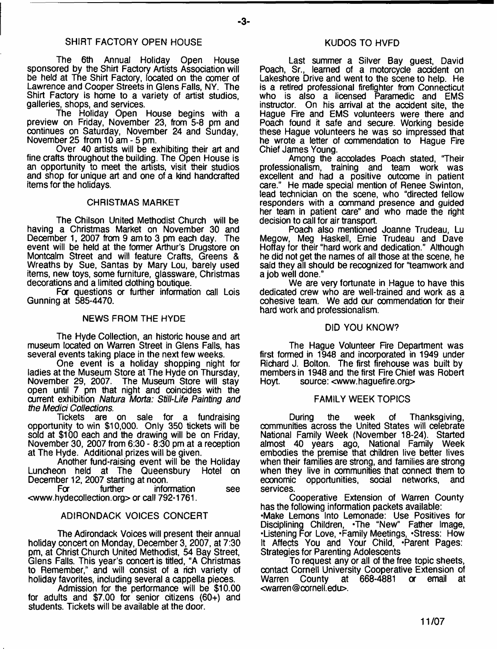- **3**-

The 6th Annual Holiday Open House sponsored by the Shirt Factory Artists Association will be held at The Shirt Factory, located on the comer of Lawrence and Cooper Streets in Glens Falls, NY. The Shirt Factory is home to a variety of artist studios, galleries, shops, and services.

The Holiday Open House begins with a preview on Friday, November 23, from 5-8 pm and continues on Saturday, November 24 and Sunday, November 25 from 10 am - 5 pm.

Over 40 artists will be exhibiting their art and fine crafts throughout the building. The Open House is an opportunity to meet the artists, visit their studios and shop for unique art and one of a kind handcrafted items for the holidays.

#### CHRISTMAS MARKET

The Chilson United Methodist Church will be having a Christmas Market on November 30 and December 1, 2007 from 9 am to 3 pm each day. The event will be held at the former Arthur's Drugstore on Montcalm Street and will feature Crafts, Greens & Wreaths by Sue, Santas by Mary Lou, barely used items, new toys, some furniture, glassware, Christmas decorations and a limited clothing boutique.

For questions or further information call Lois Gunning at 585-4470.

#### NEWS FROM THE HYDE

The Hyde Collection, an historic house and art museum located on Warren Street in Glens Falls, has several events taking place in the next few weeks.

One event is a holiday shopping night for ladies at the Museum Store at The Hyde on Thursday, November 29, 2007. The Museum Store will stay open until 7 pm that night and coincides with the current exhibition *Natura Morta: Still-Life Painting and the Medici Collections.*

Tickets are on sale for a fundraising opportunity to win \$10,000. Only 350 tickets will be sold at \$100 each and the drawing will be on Friday, November 30, 2007 from 6:30 - 8:30 pm at a reception at The Hyde. Additional prizes will be given.

Another fund-raising event will be the Holiday Luncheon held at The Queensbury Hotel on December 12, 2007 starting at noon.<br>For further infor

information see [<www.hydecollection.org](http://www.hydecollection.org)> or call 792-1761.

#### ADIRONDACK VOICES CONCERT

The Adirondack Voices will present their annual holiday concert on Monday, December 3, 2007, at 7:30 pm, at Christ Church United Methodist, 54 Bay Street, Glens Falls. This year's concert is titled, "A Christmas to Remember,'' and will consist of a rich variety of holiday favorites, including several a cappella pieces.

Admission for the performance will be \$10.00 for adults and \$7.00 for senior citizens (60+) and students. Tickets will be available at the door.

#### KUDOS TO HVFD

Last summer a Silver Bay guest, David Poach, Sr., learned of a motorcycle accident on Lakeshore Drive and went to the scene to help. He is a retired professional firefighter from Connecticut who is also a licensed Paramedic and EMS instructor. On his arrival at the accident site, the Hague Fire and EMS volunteers were there and Poach found it safe and secure. Working beside these Hague volunteers he was so impressed that he wrote a letter of commendation to Hague Fire Chief James Young.

Among the accolades Poach stated, 'Their professionalism, training and team work was excellent and had a positive outcome in patient care." He made special mention of Renee Swinton, lead technician on the scene, who "directed fellow responders with a oommand presence and guided her team in patient care" and who made the right decision to call for air transport.

Poach also mentioned Joanne Trudeau, Lu Megow, Meg Haskell, Ernie Trudeau and Dave Hoffay for their "hard work and dedication." Although he did not get the names of all those at the scene, he said they all should be recognized for "teamwork and a job well done."

We are very fortunate in Hague to have this dedicated crew who are well-trained and work as a cohesive team. We add our oommendation for their hard work and professionalism.

#### DID YOU KNOW?

The Hague Volunteer Fire Department was first formed in 1948 and incorporated in 1949 under Richard J. Bolton. The first firehouse was built by members in 1948 and the first Fire Chief was Robert<br>Hoyt. source: <www.haquefire.org> source: <[www.haguefire.org](http://www.haguefire.org)>

#### FAMILY WEEK TOPICS

During the week of Thanksgiving, communities across the United States will celebrate National Family Week (November 18-24). Started almost 40 years ago, National Family Week embodies the premise that children live better lives when their families are strong, and families are strong when they live in communities that connect them to<br>economic opportunities, social networks, and economic opportunities, social networks, services.

Cooperative Extension of Warren County has the following information packets available: •Make Lemons Into Lemonade: Use Positives for Disciplining Children, -The "New" Father Image, •Listening For Love, -Family Meetings, -Stress: How It Affects You and Your Child, -Parent Pages: Strategies for Parenting Adolescents

To request any or all of the free topic sheets, contact Cornell University Cooperative Extension of Warren County at 668-4881 <[warren@cornell.edu>](mailto:warren@cornell.edu).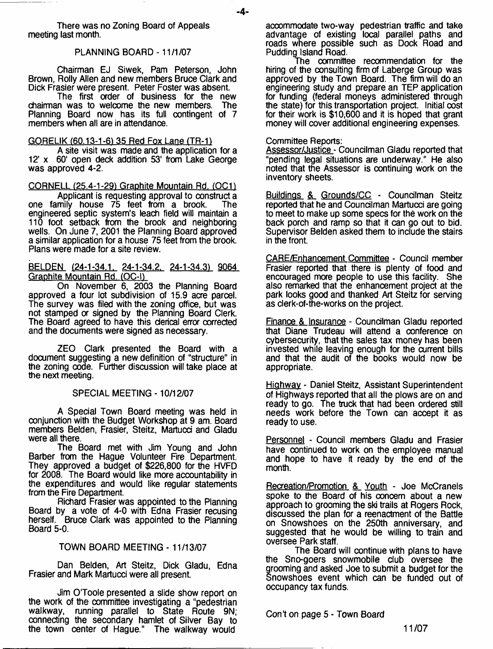There was no Zoning Board of Appeals meeting last month.

#### PLANNING BOARD -11/1/07

Chairman EJ Siwek, Pam Peterson, John Brown, Roily Allen and new members Bruce Clark and Dick Frasier were present. Peter Foster was absent.

The first order of business for the new<br>n was to welcome the new members. The chairman was to welcome the new members. Planning Board now has its full contingent of 7 members when all are in attendance.

#### GORELIK (60.13-1-61 35 Red Fox Lane (TR-ll

A site visit was made and the application for a 12' x 60' open deck addition 53' from Lake George was approved 4-2.

CORNELL (25.4-1-29) Graphite Mountain Rd. (OC1)

Applicant is requesting approval to construct a one family house 75 feet from a brook. The engineered septic system's leach field will maintain a 110 foot setback from the brook and neighboring wells. On June 7, 2001 the Planning Board approved a similar application for a house 75 feet from the brook. Plans were made for a site review.

BELDEN (24-1-34.1, 24-1-34.2, 24-1-34.3) 9064 Graphite Mountain Rd. (OC-I)

On November 6, 2003 the Planning Board approved a four lot subdivision of 15.9 acre parcel. The survey was filed with the zoning office, but was not stamped or signed by the Planning Board Clerk. The Board agreed to have this clerical error corrected and the documents were signed as necessary.

ZEO Clark presented the Board with a document suggesting a new definition of "structure" in the zoning code. Further discussion will take place at the next meeting.

#### SPECIAL MEETING -10/12/07

A Special Town Board meeting was held in conjunction with the Budget Workshop at 9 am. Board members Belden, Frasier, Steitz, Martucci and Gladu were all there.

The Board met with Jim Young and John Barber from the Hague Volunteer Fire Department. They approved a budget of \$226,800 for the HVFD for 2008. The Board would like more accountability in the expenditures and would like regular statements from the Fire Department.

Richard Frasier was appointed to the Planning Board by a vote of 4-0 with Edna Frasier recusing herself. Bruce Clark was appointed to the Planning Board 5-0.

#### TOWN BOARD MEETING - 11/13/07

Dan Beiden, Art Steitz, Dick Gladu, Edna Frasier and Mark Martucd were all present.

Jim O'Toole presented a slide show report on the work of the committee investigating a "pedestrian walkway, running parallel to State Route 9N; connecting the secondary hamlet of Silver Bay to the town center of Hague." The walkway would

accommodate two-way pedestrian traffic and take advantage of existing local parallel paths and roads wnere possible such as Dock Road and Pudding Island Road.

The committee recommendation for the hiring of the consulting firm of Laberge Group was approved by the Town Board. The firm will do an engineering study and prepare an TEP application for funding (federal moneys administered through the state) for this transportation project. Initial cost for their work is \$10,600 and it is hoped that grant money will cover additional engineering expenses.

#### Committee Reports:

Assessor/Justice - Councilman Gladu reported that "pending legal situations are underway." He also noted that the Assessor is continuing work on the inventory sheets.

Buildings & Grounds/CC - Councilman Steitz reported that he and Councilman Martucci are going to meet to make up some specs for the work on the back porch and ramp so that it can go out to bid. Supervisor Belden asked them to indude the stairs in the front.

CARE/Enhancement Committee - Council member Frasier reported that there is plenty of food and encouraged more people to use this fadlity. She also remarked that the enhancement project at the park looks good and thanked Art Steitz for serving as derk-of-the-works on the project.

Finance & Insurance - Councilman Gladu reported that Diane Trudeau will attend a conference on cybersecurity, that the sales tax money has been invested while leaving enough for the current bills and that the audit of the books would now be appropriate.

Highway - Daniel Steitz, Assistant Superintendent of Highways reported that all the plows are on and ready to go. The truck that had been ordered still needs work before the Town can accept it as ready to use.

Personnel - Council members Gladu and Frasier have continued to work on the employee manual and hope to have it ready by the end of the month.

Recreation/Promotion & Youth - Joe McCranels spoke to the Board of his concern about a new approach to grooming the ski trails at Rogers Rock, discussed the plan for a reenactment of the Battle on Snowshoes on the 250th anniversary, and suggested that he would be willing to train and oversee Park staff.

The Board will continue with plans to have the Sno-goers snowmobile club oversee the grooming and asked Joe to submit a budget for the Snowshoes event which can be funded out of occupancy tax funds.

Con\*t on page 5 - Town Board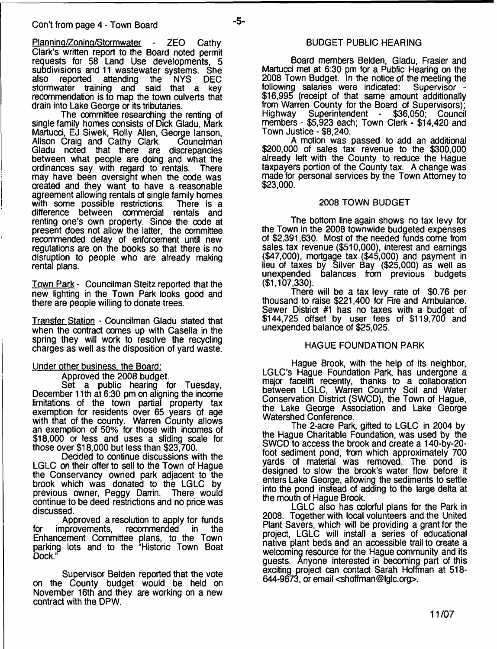Planning/Zoning/Stormwater - ZEO Cathy Clark's written report to the Board noted permit requests for 58 Land Use developments, 5 subdivisions and 11 wastewater systems. She<br>also reported attending the NYS DEC attending the stormwater training and said that a key recommendation is to map the town culverts that drain into Lake George or its tributaries.

The committee researching the renting of single family homes consists of Dick Gladu, Mark Martucci, EJ Siwek, Rolly Allen, George lanson,<br>Alison Craig and Cathy Clark. Councilman Alison Craig and Cathy Clark. Gladu noted that there are discrepancies between what people are doing and what the ordinances say with regard to rentals. There may have been oversight when the code was created and they want to have a reasonable agreement allowing rentals of single family homes with some possible restrictions. There is a difference between commerdal rentals and renting one's own property. Since the code at present does not allow the latter, the committee recommended delay of enforcement until new regulations are on the books so that there is no disruption to people who are already making rental plans.

Town Park - Councilman Steitz reported that the new lighting in the Town Park looks good and there are people willing to donate trees.

Transfer Station - Councilman Gladu stated that when the contract comes up with Casella in the spring they will work to resolve the recyding charges as well as the disposition of yard waste.

#### Under other business, the Board:

Approved the 2008 budget.

Set a public hearing for Tuesday, December 11th at 6:30 pm on aligning the income limitations of the town partial property tax exemption for residents over 65 years of age with that of the county. Warren County allows an exemption of 50% for those with incomes of \$18,000 or less and uses a sliding scale for those over \$18,000 but less than \$23,700.

Dedded to continue discussions with the LGLC on their offer to sell to the Town of Hague the Conservancy owned park adjacent to the brook which was donated to the LGLC by previous owner, Peggy Darrin. There would continue to be deed restrictions and no price was discussed.

Approved a resolution to apply for funds<br>nprovements, recommended in the for improvements, recommended in the Enhancement Committee plans, to the Town parking lots and to the "Historic Town Boat Dock."

Supervisor Belden reported that the vote on the County budget would be held on November 16th and they are working on a new contract with the DPW.

# BUDGET PUBLIC HEARING

Board members Belden, Gladu, Frasier and Martucd met at 6:30 pm for a Public Hearing on the 2008 Town Budget. In the notice of the meeting the following salaries were indicated: Supervisor - \$16,995 (receipt of that same amount additionally from Warren County for the Board of Supervisors);<br>Highway Superintendent - \$36,050; Council Superintendent members - \$5,923 each; Town Clerk - \$14,420 and Town Justice - \$8,240.

A motion was passed to add an additional \$200,000 of sales tax revenue to the \$300,000 already left with the County to reduce the Hague taxpayers portion of the County tax. A change was made for personal services by the Town Attorney to \$23,000.

#### 2008 TOWN BUDGET

The bottom line again shows no tax levy for the Town in the 2008 townwide budgeted expenses of \$2,391,630. Most of the needed funds come from sales tax revenue (\$510,000), interest and earnings (\$47,000), mortgage tax (\$45,000) and payment in lieu of taxes by Silver Bay (\$25,000) as well as unexpended balances from previous budgets (\$1,107,330).

There will be a tax levy rate of \$0.76 per thousand to raise \$221,400 for Fire and Ambulance. Sewer District #1 has no taxes with a budget of \$144,725 offset by user fees of \$119,700 and unexpended balance of \$25,025.

#### HAGUE FOUNDATION PARK

Hague Brook, with the help of its neighbor, LGLC's Hague Foundation Park, has undergone a major facelift recently, thanks to a collaboration between LGLC, Warren County Soil and Water Conservation District (SWCD), the Town of Hague, the Lake George Association and Lake George Watershed Conference.

The 2-acre Park, gifted to LGLC in 2004 by the Hague Charitable Foundation, was used by the SWCD to access the brook and create a 140-by-20 foot sediment pond, from which approximately 700 yards of material was removed. The pond is designed to slow the brook's water flow before it enters Lake George, allowing the sediments to settle into the pond instead of adding to the large delta at the mouth of Hague Brook.

LGLC also has colorful plans for the Park in 2008. Together with local volunteers and the United Plant Savers, which will be providing a grant for the project, LGLC will install a series of educational native plant beds and an accessible trail to create a welcoming resource for the Hague community and its guests. Anyone interested in becoming part of this exciting project can contact Sarah Hoffman at 518- 644-9673, or email [<shoffman@lglc.org](mailto:shoffman@lglc.org)>.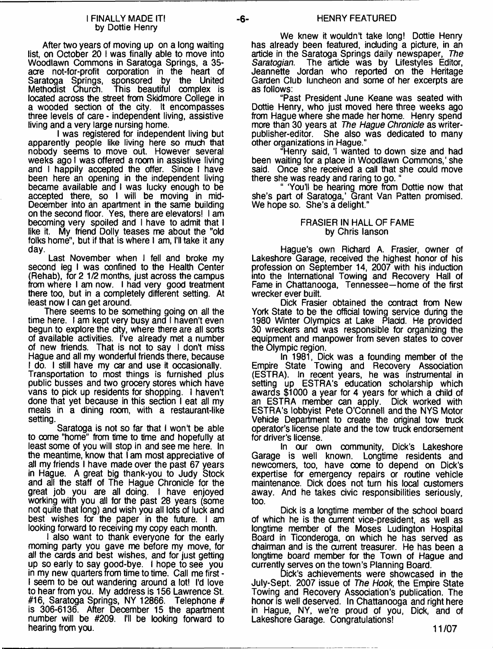#### I FINALLY MADE IT! by Dottie Henry

After two years of moving up on a long waiting list, on October 20 I was finally able to move into Woodlawn Commons in Saratoga Springs, a 35 acre not-for-profit corporation in the heart of Saratoga Springs, sponsored by the United<br>Methodist Church. This beautiful complex is This beautiful complex is located across the street from Skidmore College in a wooded section of the city. It encompasses three levels of care - independent living, assistive living and a very large nursing home.

I was registered for independent living but apparently people like living here so much that nobody seems to move out. However several weeks ago I was offered a room in assistive living and 1 happily accepted the offer. Since I have been here an opening in the independent living became available and I was lucky enough to be accepted there, so I will be moving in mid-December into an apartment in the same building on the second floor. Yes, there are elevators! I am becoming very spoiled and I have to admit that I like it. My friend Dolly teases me about the "old folks home", but if that is where I am, I'll take it any day.

Last November when I fell and broke my second leg I was confined to the Health Center (Rehab), for 2 1/2 months, just across the campus from where I am now. I had very good treatment there too, but in a completely different setting. At least now I can get around.

There seems to be something going on all the time here. I am kept very busy and I haven't even begun to explore the city, where there are all sorts of available activities. I've already met a number of new friends. That is not to say I don't miss Hague and all my wonderful friends there, because I do. I still have my car and use it occasionally. Transportation to most things is furnished plus public busses and two grocery stores which have vans to pick up residents for shopping. I haven't done that yet because in this section I eat all my meals in a dining room, with a restaurant-like setting.

Saratoga is not so far that I wont be able to come "home" from time to time and hopefully at least some of you will stop in and see me here. In the meantime, know that I am most appreciative of all my friends I have made over the past 67 years in Hague. A great big thank-you to Judy Stock and all the staff of The Hague Chronicle for the great job you are all doing. I have enjoyed working with you all for the past 28 years (some not quite that long) and wish you all lots of luck and best wishes for the paper in the future. I am looking forward to receiving my copy each month.

I also want to thank everyone for the early morning party you gave me before my move, for all the cards and best wishes, and for just getting up so early to say good-bye. I hope to see you in my new quarters from time to time. Call me first - I seem to be out wandering around a lot! I'd love to hear from you. My address is 156 Lawrence St. #16, Saratoga Springs, NY 12866. Telephone # is 306-6136. After December 15 the apartment number will be #209. I'll be looking forward to hearing from you.

We knew it wouldn't take long! Dottie Henry has already been featured, including a picture, in an article in the Saratoga Springs daily newspaper, *The* The article was by Lifestyles Editor, Jeannette Jordan who reported on the Heritage Garden Club luncheon and some of her excerpts are as follows:

"Past President June Keane was seated with Dottie Henry, who just moved here three weeks ago from Hague where she made her home. Henry spend more than 30 years at *The Hague Chronicle* as writerpublisher-editor. She also was dedicated to many other organizations in Hague."

"Henry said, 'I wanted to down size and had been waiting for a place in Woodlawn Commons,' she said. Once she received a call that she could move there she was ready and raring to go. "

" 'You'll be hearing more from Dottie now that she's part of Saratoga,' Grant Van Patten promised. We hope so. She's a delight."

#### FRASIER IN HALL OF FAME by Chris lanson

Hague's own Richard A. Frasier, owner of Lakeshore Garage, received the highest honor of his profession on September 14, 2007 with his induction into the International Towing and Recovery Hail of Fame in Chattanooga, Tennessee—home of the first wrecker ever built.

Dick Frasier obtained the contract from New York State to be the official towing service during the 1980 Winter Olympics at Lake Placid. He provided 30 wreckers and was responsible for organizing the equipment and manpower from seven states to cover the Olympic region.

In 1981, Dick was a founding member of the Empire State Towing and Recovery Association (ESTRA). In recent years, he was instrumental in setting up ESTRA's education scholarship which awards \$1000 a year for 4 years for which a child of an ESTRA member can apply. Dick worked with ESTRA's lobbyist Pete O'Connell and the NYS Motor Vehicle Department to create the original tow truck operator's license plate and the tow truck endorsement for driver's license.

In our own community, Dick's Lakeshore Garage is well known. Longtime residents and newcomers, too, have come to depend on Dick's expertise for emergency repairs or routine vehicle maintenance. Dick does not turn his local customers away. And he takes civic responsibilities seriously, too.

Dick is a longtime member of the school board of which he is the current vice-president, as well as longtime member of the Moses Ludington Hospital Board in Ticonderoga, on which he has served as chairman and is the current treasurer. He has been a longtime board member for the Town of Hague and currently serves on the town's Planning Board.

Dick's achievements were showcased in the July-Sept. 2007 issue of *The Hook,* the Empire State Towing and Recovery Association's publication. The honor is well deserved. In Chattanooga and right here in Hague, NY, we're proud of you, Dick, and of Lakeshore Garage. Congratulations!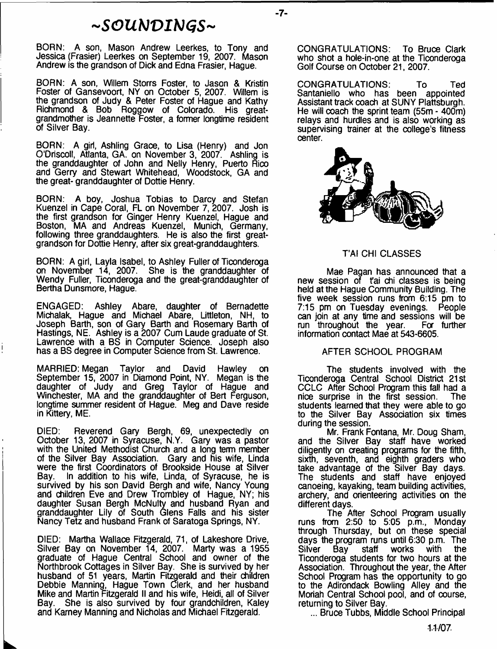# *~SOUb)VIbJGS~*

BORN: A son, Mason Andrew Leerkes, to Tony and Jessica (Frasier) Leerkes on September 19, 2007. Mason Andrew is the grandson of Dick and Edna Frasier, Hague.

BORN: A son, Willem Storrs Foster, to Jason & Kristin Foster of Gansevoort, NY on October 5, 2007. Willem is the grandson of Judy & Peter Foster of Hague and Kathy Richmond & Bob Roggow of Colorado. His greatgrandmother is Jeannette Foster, a former longtime resident of Silver Bay.

BORN: A girl, Ashling Grace, to Lisa (Henry) and Jon O'Driscoll, Atlanta, GA. on November 3, 2007. Ashling is the granddaughter of John and Nelly Henry, Puerto Rico and Gerry and Stewart Whitehead, Woodstock, GA and the great- granddaughter of Dottie Henry.

BORN: A boy, Joshua Tobias to Darcy and Stefan Kuenzel in Cape Coral, FL on November 7, 2007. Josh is the first grandson for Ginger Henry Kuenzel, Hague and Boston, MA and Andreas Kuenzel, Munich, Germany, following three granddaughters. He is also the first greatgrandson for Dottie Henry, after six great-granddaughters.

BORN: A girl, Layla Isabel, to Ashley Fuller of Ticonderoga on November 14, 2007. She is the granddaughter of Wendy Fuller, Ticonderoga and the great-granddaughter of Bertha Dunsmore, Hague.

ENGAGED: Ashley Abare, daughter of Bernadette Michalak, Hague and Michael Abare, Littleton, NH, to Joseph Barth, son of Gary Barth and Rosemary Barth of Hastings, NE. Ashley is a 2007 Cum Laude graduate of St. Lawrence with a BS in Computer Science. Joseph also has a BS degree in Computer Science from St. Lawrence.

İ

MARRIED: Megan Taylor and David Hawley on September 15, 2007 in Diamond Point, NY. Megan is the daughter of Judy and Greg Taylor of Hague and Winchester, MA and the granddaughter of Bert Ferguson, longtime summer resident of Hague. Meg and Dave reside in Kittery, ME.

DIED: Reverend Gary Bergh, 69, unexpectedly on October 13, 2007 in Syracuse, N.Y. Gary was a pastor with the United Methodist Church and a long term member of the Silver Bay Association. Gary and his wife, Linda were the first Coordinators of Brookside House at Silver Bay. In addition to his wife, Linda, of Syracuse, he is survived by his son David Bergh and wife, Nancy Young and children Eve and Drew Trombley of Hague, NY; his daughter Susan Bergh McNulty and husband Ryan and granddaughter Lily of South Glens Falls and his sister Nancy Tetz and husband Frank of Saratoga Springs, NY.

DIED: Martha Wallace Fitzgerald, 71, of Lakeshore Drive, Silver Bay on November 14, 2007. Marty was a 1955 graduate of Hague Central School and owner of the Northbrook Cottages in Silver Bay. She is survived by her husband of 51 years, Martin Fitzgerald and their children Debbie Manning, Hague Town Clerk, and her husband Mike and Martin Fitzgerald II and his wife, Heidi, all of Silver Bay. She is also survived by four grandchildren, Kaley and Karney Manning and Nicholas and Michael Fitzgerald.

CONGRATULATIONS: To Bruce Clark who shot a hole-in-one at the Ticonderoga Golf Course on October 21, 2007.

- **7**-

CONGRATULATIONS: To Ted Santaniello who has been appointed Assistant track coach at SUNY Plattsburgh. He will coach the sprint team (55m - 400m) relays and hurdles and is also working as supervising trainer at the college's fitness center.



#### T'AI CHI CLASSES

Mae Pagan has announced that a new session of fai chi classes is being held at the Hague Community Building. The five week session runs from 6:15 pm to 7:15 pm on Tuesday evenings. People can join at any time and sessions will be run throughout the year. Fa further information contact Mae at 543-6605.

#### AFTER SCHOOL PROGRAM

The students involved with the Ticonderoga Central School District 21st CCLC After School Program this fall had a<br>nice surprise in the first session. The nice surprise in the first session. students learned that they were able to go to the Silver Bay Association six times during the session.

Mr. Frank Fontana, Mr. Doug Sham, and the Silver Bay staff have worked diligently on creating programs for the fifth, sixth, seventh, and eighth graders who take advantage of the Silver Bay days. The students and staff have enjoyed canoeing, kayaking, team building activities, archery, and orienteering activities on the different days.

The After School Program usually runs from 2:50 to 5:05 p.m., Monday through Thursday, but on these special days the program runs until 6:30 p.m. The Silver Bay staff works with the Ticonderoga students for two hours at the Association. Throughout the year, the After School Program has the opportunity to go to the Adirondack Bowling Alley and the Moriah Central School pool, and of course, returning to Silver Bay.

... Bruce Tubbs, Middle School Principal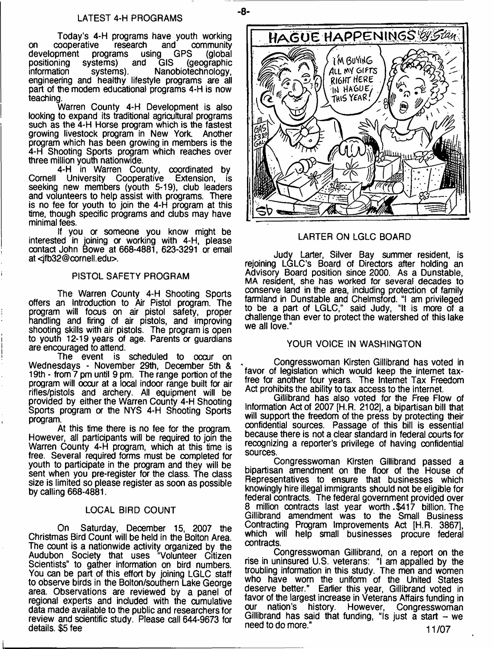- **8**-

Today's 4-H programs have youth working on cooperative research and community<br>development programs using GPS (global development programs using **development** programs using positioning systems) and GIS (geographic Nanobiotechnology, engineering and healthy lifestyle programs are all part of the modem educational programs 4-H is now teaching.

Warren County 4-H Development is also looking to expand its traditional agricultural programs such as the 4-H Horse program which is the fastest growing livestock program in New York. Another program which has been growing in members is the 4-H Shooting Sports program which reaches over three million youth nationwide.

4-H in Warren County, coordinated by Cornell University Cooperative Extension, is seeking new members (youth 5-19), dub leaders and volunteers to help assist with programs. There is no fee for youth to join the 4-H program at this time, though specific programs and clubs may have minimal fees.

If you or someone you know might be interested in joining or working with 4-H, please contact John Bowe at 668-4881, 623-3291 or email at [<jfb32@cornell.edu>](mailto:jfb32@cornell.edu).

#### PISTOL SAFETY PROGRAM

The Warren County 4-H Shooting Sports offers an Introduction to Air Pistol program. The program will focus on air pistol safety, proper handling and firing of air pistols, and improving shooting skills with air pistols. The program is open to youth 12-19 years of age. Parents or guardians are encouraged to attend.

The event is scheduled to occur on Wednesdays - November 29th, December 5th & 19th - from 7 pm until 9 pm. The range portion of the program will occur at a local indoor range built for air rifles/pistols and archery. All equipment will be provided by either the Warren County 4-H Shooting Sports program or the NYS 4-H Shooting Sports program.

At this time there is no fee for the program. However, all participants will be required to join the Warren County 4-H program, which at this time is free. Several required forms must be completed for youth to participate in the program and they will be sent when you pre-register for the dass. The dass size is limited so please register as soon as possible by calling 668-4881.

#### LOCAL BIRD COUNT

On Saturday, December 15, 2007 the Christmas Bird Count will be held in the Bolton Area. The count is a nationwide activity organized by the Audubon Society that uses "Volunteer Citizen Scientists" to gather information on bird numbers. You can be part of this effort by joining LGLC staff to observe birds in the Bolton/southern Lake George area. Observations are reviewed by a panel of regional experts and induded with the cumulative data made available to the public and researchers for review and scientific study. Please call 644-9673 for details. \$5 fee



#### LARTER ON LGLC BOARD

Judy Larter, Silver Bay summer resident, is rejoining LGLC's Board of Directors after holding an Advisory Board position since 2000. As a Dunstable, MA resident, she has worked for several decades to conserve land in the area, induding protection of family farmland in Dunstable and Chelmsford. "I am privileged to be a part of LGLC," said Judy, "It is more of a challenge than ever to protect the watershed of this lake we all love."

#### YOUR VOICE IN WASHINGTON

Congresswoman Kirsten Gillibrand has voted in favor of legislation which would keep the internet taxfree for another four years. The Internet Tax Freedom Act prohibits the ability to tax access to the internet.

Gillibrand has also voted for the Free Flow of Information Act of 2007 [H.R. 2102], a bipartisan bill that will support the freedom of the press by protecting their confidential sources. Passage of this bill is essential because there is not a clear standard in federal courts for recognizing a reporter's privilege of having confidential sources.

Congresswoman Kirsten Gillibrand passed a bipartisan amendment on the floor of the House of Representatives to ensure that businesses which knowingly hire illegal immigrants should not be eligible for federal contracts. The federal government provided over 8 million contracts last year worth.\$417 billion.The Gillibrand amendment was to the Small Business Contracting Program Improvements Act [H.R. 3867], which will help small businesses procure federal contracts.

Congresswoman Gillibrand, on a report on the rise in uninsured U.S. veterans: "I am appalled by the troubling information in this study. The men and women who have worn the uniform of the United States deserve better." Earlier this year, Gillibrand voted in favor of the largest increase in Veterans Affairs funding in history. However, Gillibrand has said that funding, "Is just a start  $-$  we need to do more." **At a set of the set of the set of the set of the set of the set of the set of the set of the set of the set of the set of the set of the set of the set of the set of the set of the set of the set of the**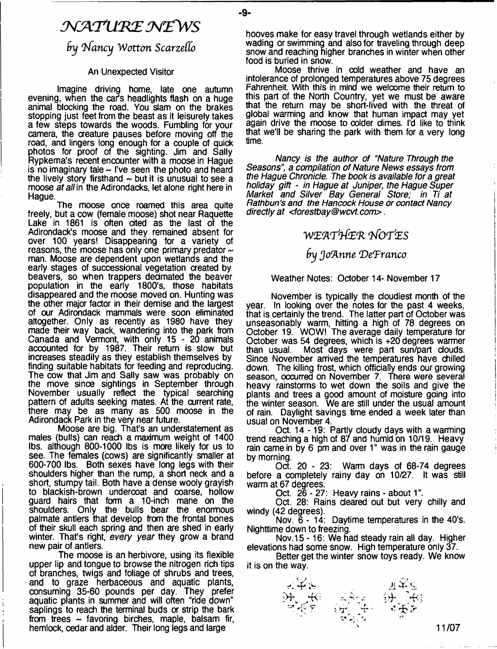# $\mathcal{N}$ ATURE NEWS

- **9**-

**by Nancy Wotton Scarzello** 

#### An Unexpected Visitor

Imagine driving home, late one autumn evening, when the car's headlights flash on a huge animal blocking the road. You slam on the brakes stopping just feet from the beast as it leisurely takes a few steps towards the woods. Fumbling for your camera, the creature pauses before moving off the road, and lingers long enough for a couple of quick photos for proof of the sighting. Jim and Sally Rypkema's recent encounter with a moose in Hague is no imaginary tale  $\sim$  I've seen the photo and heard the lively story firsthand  $\sim$  but it is unusual to see a moose *at all* in the Adirondacks, let alone right here in Hague.

The moose once roamed this area quite freely, but a cow (female moose) shot near Raquette Lake in 1861 is often cited as the last of the Adirondack's moose and they remained absent for over 100 years! Disappearing for a variety of reasons, the moose has only one primary predator  $\sim$ man. Moose are dependent upon wetlands and the early stages of successional vegetation created by beavers, so when trappers decimated the beaver population in the early 1800's, those habitats disappeared and the moose moved on. Hunting was the other major factor in their demise and the largest of our Adirondack mammals were soon eliminated altogether. Only as recently as 1980 have they made their way back, wandering into the park from Canada and Vermont, with only 15-20 animals accounted for by 1987. Their return is slow but increases steadily as they establish themselves by finding suitable habitats for feeding and reproducing. The cow that Jim and Sally saw was probably on the move since sightings in September through November usually reflect the typical searching pattern of adults seeking mates. At the current rate, there may be as many as 500 moose in the Adirondack Park in the very near future.

Moose are big. That's an understatement as males (bulls) can reach a maximum weight of 1400 lbs. although 800-1000 lbs is more likely for us to see. The females (cows) are significantly smaller at 600-700 lbs. Both sexes have long legs with their shoulders higher than the rump, a short neck and a short, stumpy tail. Both have a dense wooly grayish to blackish-brown undercoat and coarse, hollow guard hairs that form a 10-inch mane on the shoulders. Only the bulls bear the enormous palmate antlers that develop from the frontal bones of their skull each spring and then are shed in early winter. That's right, *every year* they grow a brand new pair of antlers.

The moose is an herbivore, using its flexible upper lip and tongue to browse the nitrogen rich tips of branches, twigs and foliage of shrubs and trees, and to graze herbaceous and aquatic plants, consuming 35-60 pounds per day. They prefer aquatic plants in summer and will often "ride down" saplings to reach the terminal buds or strip the bark from trees  $\sim$  favoring birches, maple, balsam fir, hemlock, cedar and alder. Their long legs and large

hooves make for easy travel through wetlands either by wading or swimming and also for traveling through deep snow and reaching higher branches in winter when other food is buried in snow.

Moose thrive in cold weather and have an intolerance of prolonged temperatures above 75 degrees Fahrenheit. With this in mind we welcome their return to this part of the North Country, yet we must be aware that the return may be short-lived with the threat of global warming and know that human impact may yet again drive the moose to colder climes. I'd like to think that we'll be sharing the park with them for a very long time.

*Nancy is the author of "Nature Through the* Seasons" a *compilation of Nature News essays from the Hague Chronicle. The book is available for a great holiday gift* - *in Hague at Juniper, the Hague Super Market and Silver Bay General Store; in Ti at Rathbun's and the Hancock House or contact Nancy directly at <forestbay®wcvt.com*> .

# **'vvEJi'rt-feR** *t/ o tIes*

# *fry Jo'Anne 'DeTranco*

#### Weather Notes: October 14- November 17

November is typically the cloudiest month of the year. In looking over the notes for the past 4 weeks, that is certainly the trend. The latter part of October was unseasonably warm, hitting a high of 78 degrees on October 19. WOW! The average daily temperature for October was 54 degrees, which is +20 degrees warmer<br>than usual. Most days were part sun/part clouds. Most days were part sun/part clouds. Since November arrived the temperatures have chilled down. The killing frost, which officially ends our growing season, occurred on November 7. There were several heavy rainstorms to wet down the soils and give the plants and trees a good amount of moisture going into the winter season. We are still under the usual amount of rain. Daylight savings time ended a week later than usual on November 4.

Oct. 14-19: Partly cloudy days with a warming trend reaching a high of 87 and humid on 10/19. Heavy rain came in by 6 pm and over 1" was in the rain gauge by morning.

Oct. 20 - 23: Warm days of 68-74 degrees before a completely rainy day on 10/27. It was still warm at 67 degrees.

Oct. 26 - 27: Heavy rains - about 1".

Oct. 28: Rains cleared out but very chilly and windy (42 degrees).

Nov. 6-14: Daytime temperatures in the 40's. Nighttime down to freezing.

Nov. 15 -16: We had steady rain all day. Higher elevations had some snow. High temperature only 37.

Better get the winter snow toys ready. We know it is on the way.



**11/07**